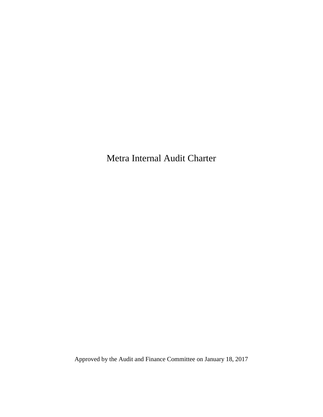Metra Internal Audit Charter

Approved by the Audit and Finance Committee on January 18, 2017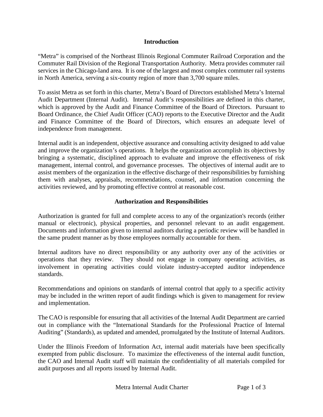## **Introduction**

"Metra" is comprised of the Northeast Illinois Regional Commuter Railroad Corporation and the Commuter Rail Division of the Regional Transportation Authority. Metra provides commuter rail services in the Chicago-land area. It is one of the largest and most complex commuter rail systems in North America, serving a six-county region of more than 3,700 square miles.

To assist Metra as set forth in this charter, Metra's Board of Directors established Metra's Internal Audit Department (Internal Audit). Internal Audit's responsibilities are defined in this charter, which is approved by the Audit and Finance Committee of the Board of Directors. Pursuant to Board Ordinance, the Chief Audit Officer (CAO) reports to the Executive Director and the Audit and Finance Committee of the Board of Directors, which ensures an adequate level of independence from management.

Internal audit is an independent, objective assurance and consulting activity designed to add value and improve the organization's operations. It helps the organization accomplish its objectives by bringing a systematic, disciplined approach to evaluate and improve the effectiveness of risk management, internal control, and governance processes. The objectives of internal audit are to assist members of the organization in the effective discharge of their responsibilities by furnishing them with analyses, appraisals, recommendations, counsel, and information concerning the activities reviewed, and by promoting effective control at reasonable cost.

## **Authorization and Responsibilities**

Authorization is granted for full and complete access to any of the organization's records (either manual or electronic), physical properties, and personnel relevant to an audit engagement. Documents and information given to internal auditors during a periodic review will be handled in the same prudent manner as by those employees normally accountable for them.

Internal auditors have no direct responsibility or any authority over any of the activities or operations that they review. They should not engage in company operating activities, as involvement in operating activities could violate industry-accepted auditor independence standards.

Recommendations and opinions on standards of internal control that apply to a specific activity may be included in the written report of audit findings which is given to management for review and implementation.

The CAO is responsible for ensuring that all activities of the Internal Audit Department are carried out in compliance with the ["International Standards for the Professional Practice of Internal](file://SRV03211/AuditFolders$/Audit%20Admin/Policies%20and%20Procedures%20Manual/A-6%20%20The%20International%20Standards.doc)  [Auditing"](file://SRV03211/AuditFolders$/Audit%20Admin/Policies%20and%20Procedures%20Manual/A-6%20%20The%20International%20Standards.doc) (Standards), as updated and amended, promulgated by the Institute of Internal Auditors.

Under the Illinois Freedom of Information Act, internal audit materials have been specifically exempted from public disclosure. To maximize the effectiveness of the internal audit function, the CAO and Internal Audit staff will maintain the confidentiality of all materials compiled for audit purposes and all reports issued by Internal Audit.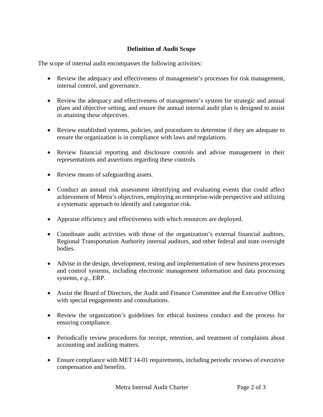## **Definition of Audit Scope**

The scope of internal audit encompasses the following activities:

- Review the adequacy and effectiveness of management's processes for risk management, internal control, and governance.
- Review the adequacy and effectiveness of management's system for strategic and annual plans and objective setting, and ensure the annual internal audit plan is designed to assist in attaining these objectives.
- Review established systems, policies, and procedures to determine if they are adequate to ensure the organization is in compliance with laws and regulations.
- Review financial reporting and disclosure controls and advise management in their representations and assertions regarding these controls.
- Review means of safeguarding assets.
- Conduct an annual risk assessment identifying and evaluating events that could affect achievement of Metra's objectives, employing an enterprise-wide perspective and utilizing a systematic approach to identify and categorize risk.
- Appraise efficiency and effectiveness with which resources are deployed.
- Coordinate audit activities with those of the organization's external financial auditors, Regional Transportation Authority internal auditors, and other federal and state oversight bodies.
- Advise in the design, development, testing and implementation of new business processes and control systems, including electronic management information and data processing systems, *e.g.*, ERP.
- Assist the Board of Directors, the Audit and Finance Committee and the Executive Office with special engagements and consultations.
- Review the organization's guidelines for ethical business conduct and the process for ensuring compliance.
- Periodically review procedures for receipt, retention, and treatment of complaints about accounting and auditing matters.
- Ensure compliance with MET 14-01 requirements, including periodic reviews of executive compensation and benefits.